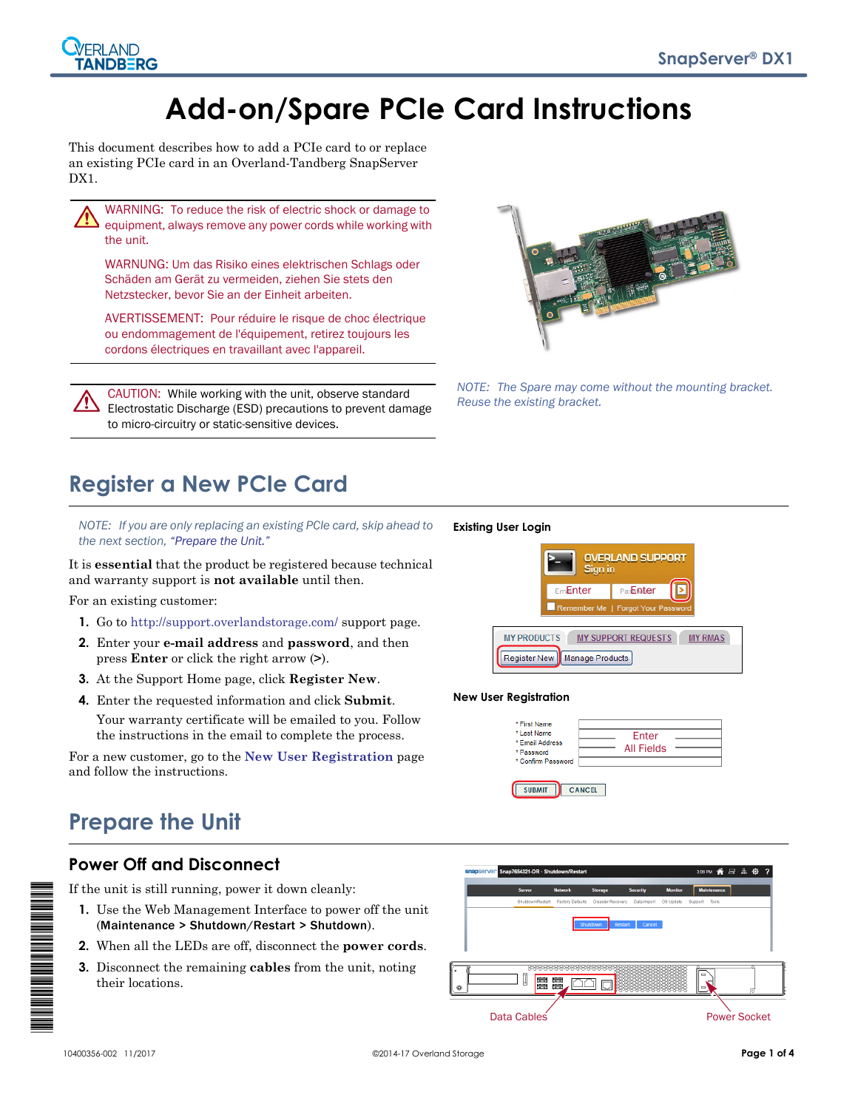# **Add-on/Spare PCIe Card Instructions**

This document describes how to add a PCIe card to or replace an existing PCIe card in an Overland-Tandberg SnapServer DX1.



WARNING: To reduce the risk of electric shock or damage to equipment, always remove any power cords while working with the unit.

WARNUNG: Um das Risiko eines elektrischen Schlags oder Schäden am Gerät zu vermeiden, ziehen Sie stets den Netzstecker, bevor Sie an der Einheit arbeiten.

AVERTISSEMENT: Pour réduire le risque de choc électrique ou endommagement de l'équipement, retirez toujours les cordons électriques en travaillant avec l'appareil.

CAUTION: While working with the unit, observe standard Electrostatic Discharge (ESD) precautions to prevent damage to micro-circuitry or static-sensitive devices.



*NOTE: The Spare may come without the mounting bracket. Reuse the existing bracket.*

## **Register a New PCIe Card**

*NOTE: If you are only replacing an existing PCIe card, skip ahead to the next section, ["Prepare the Unit."](#page-0-0)*

It is **essential** that the product be registered because technical and warranty support is **not available** until then.

For an existing customer:

- **1.** Go to<http://support.overlandstorage.com/> support page.
- **2.** Enter your **e-mail address** and **password**, and then press **Enter** or click the right arrow (**>**).
- **3.** At the Support Home page, click **Register New**.
- **4.** Enter the requested information and click **Submit**.

Your warranty certificate will be emailed to you. Follow the instructions in the email to complete the process.

For a new customer, go to the **[New User Registration](http://support.overlandstorage.com/touchpoint/registration/reg.aspx)** page and follow the instructions.

### <span id="page-0-0"></span>**Prepare the Unit**

#### **Power Off and Disconnect**

If the unit is still running, power it down cleanly:

- **1.** Use the Web Management Interface to power off the unit (Maintenance > Shutdown/Restart > Shutdown).
- **2.** When all the LEDs are off, disconnect the **power cords**.
- **3.** Disconnect the remaining **cables** from the unit, noting their locations.



**OVERLAND SUPPORT** 

#### **New User Registration**

 **Existing User Login**

| * First Name<br>* Last Name<br>* Email Address<br>* Password | Enter<br><b>All Fields</b> |  |
|--------------------------------------------------------------|----------------------------|--|
| * Confirm Password<br><b>SUBMIT</b>                          | <b>CANCEL</b>              |  |



\*10400356-002\*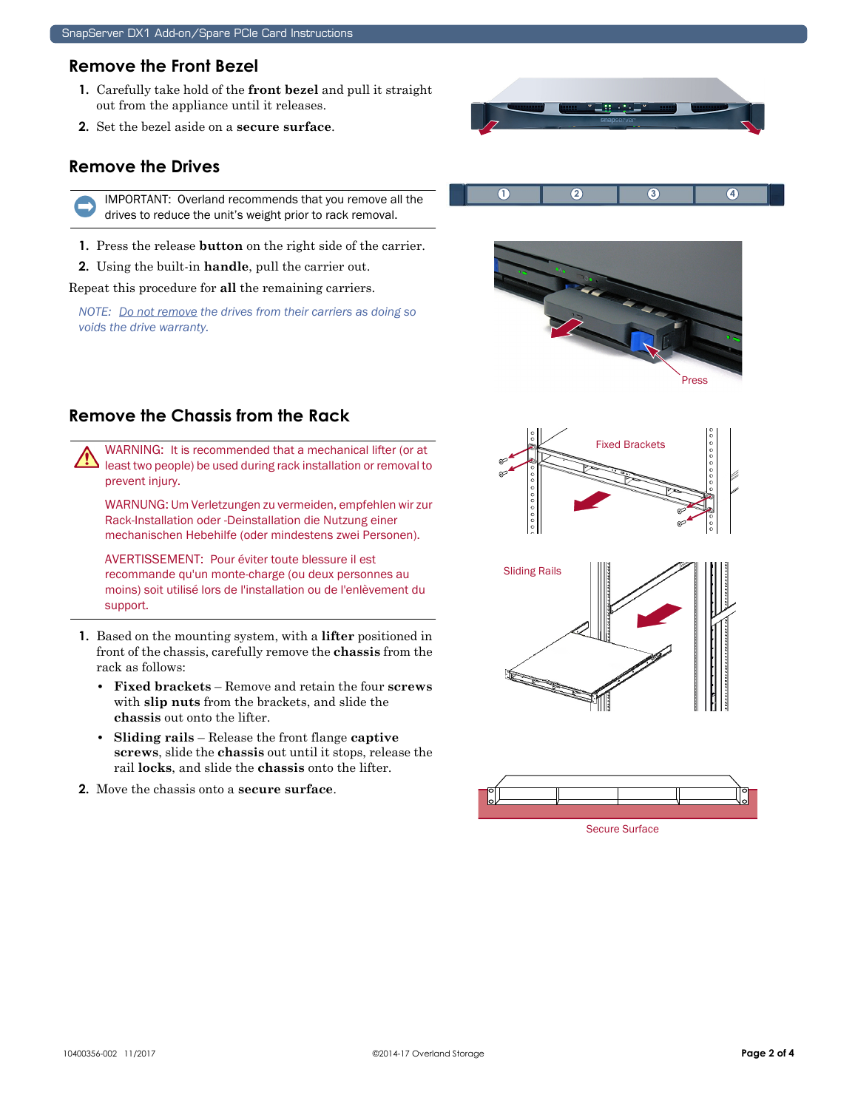#### **Remove the Front Bezel**

- **1.** Carefully take hold of the **front bezel** and pull it straight out from the appliance until it releases.
- **2.** Set the bezel aside on a **secure surface**.

#### **Remove the Drives**

IMPORTANT: Overland recommends that you remove all the drives to reduce the unit's weight prior to rack removal.

- **1.** Press the release **button** on the right side of the carrier.
- **2.** Using the built-in **handle**, pull the carrier out.

Repeat this procedure for **all** the remaining carriers.

*NOTE: Do not remove the drives from their carriers as doing so voids the drive warranty.*



**1 2 3 4**

### **Remove the Chassis from the Rack**

WARNING: It is recommended that a mechanical lifter (or at least two people) be used during rack installation or removal to prevent injury.

WARNUNG: Um Verletzungen zu vermeiden, empfehlen wir zur Rack-Installation oder -Deinstallation die Nutzung einer mechanischen Hebehilfe (oder mindestens zwei Personen).

AVERTISSEMENT: Pour éviter toute blessure il est recommande qu'un monte-charge (ou deux personnes au moins) soit utilisé lors de l'installation ou de l'enlèvement du support.

- **1.** Based on the mounting system, with a **lifter** positioned in front of the chassis, carefully remove the **chassis** from the rack as follows:
	- **Fixed brackets** Remove and retain the four **screws** with **slip nuts** from the brackets, and slide the **chassis** out onto the lifter.
	- **Sliding rails** Release the front flange **captive screws**, slide the **chassis** out until it stops, release the rail **locks**, and slide the **chassis** onto the lifter.
- **2.** Move the chassis onto a **secure surface**.







Secure Surface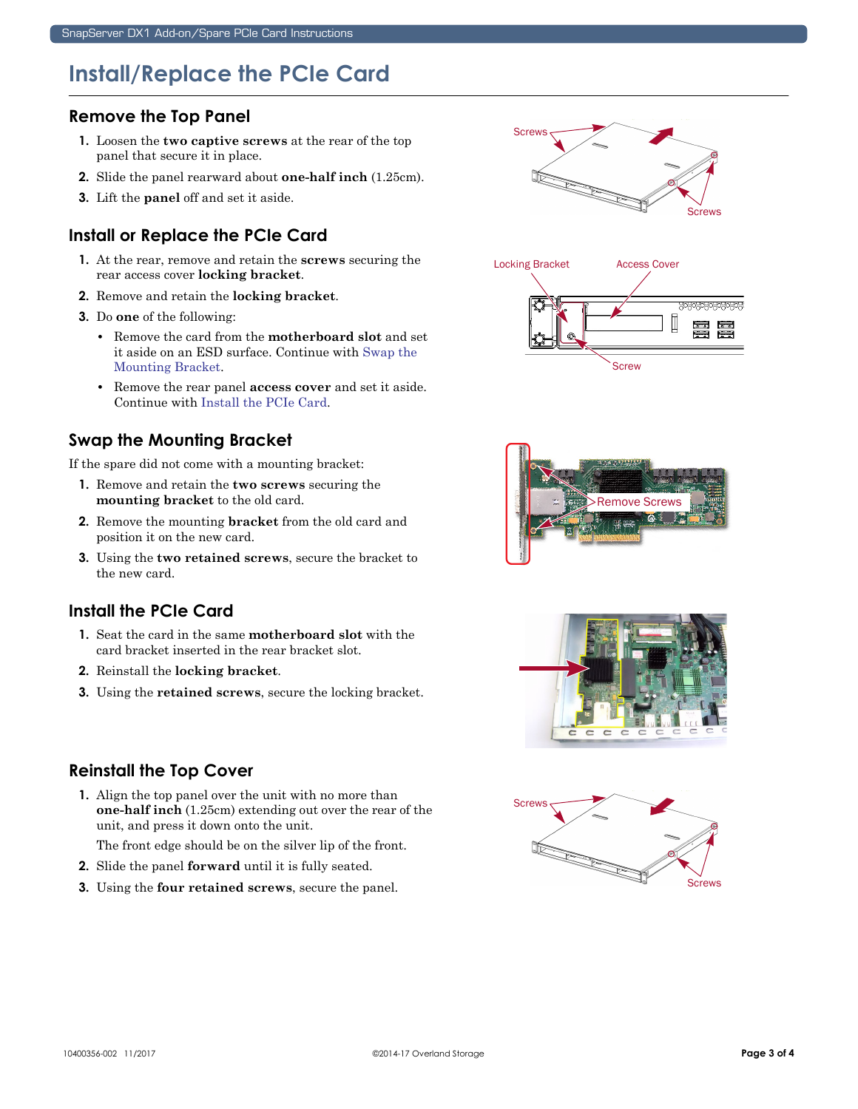### **Install/Replace the PCIe Card**

#### **Remove the Top Panel**

- **1.** Loosen the **two captive screws** at the rear of the top panel that secure it in place.
- **2.** Slide the panel rearward about **one-half inch** (1.25cm).
- **3.** Lift the **panel** off and set it aside.

#### **Install or Replace the PCIe Card**

- **1.** At the rear, remove and retain the **screws** securing the rear access cover **locking bracket**.
- **2.** Remove and retain the **locking bracket**.
- **3.** Do **one** of the following:
	- **•** Remove the card from the **motherboard slot** and set it aside on an ESD surface. Continue with [Swap the](#page-2-0)  [Mounting Bracket](#page-2-0).
	- **•** Remove the rear panel **access cover** and set it aside. Continue with [Install the PCIe Card](#page-2-1).

#### <span id="page-2-0"></span>**Swap the Mounting Bracket**

If the spare did not come with a mounting bracket:

- **1.** Remove and retain the **two screws** securing the **mounting bracket** to the old card.
- **2.** Remove the mounting **bracket** from the old card and position it on the new card.
- **3.** Using the **two retained screws**, secure the bracket to the new card.

### <span id="page-2-1"></span>**Install the PCIe Card**

- **1.** Seat the card in the same **motherboard slot** with the card bracket inserted in the rear bracket slot.
- **2.** Reinstall the **locking bracket**.
- **3.** Using the **retained screws**, secure the locking bracket.

#### **Reinstall the Top Cover**

**1.** Align the top panel over the unit with no more than **one-half inch** (1.25cm) extending out over the rear of the unit, and press it down onto the unit.

The front edge should be on the silver lip of the front.

- **2.** Slide the panel **forward** until it is fully seated.
- **3.** Using the **four retained screws**, secure the panel.